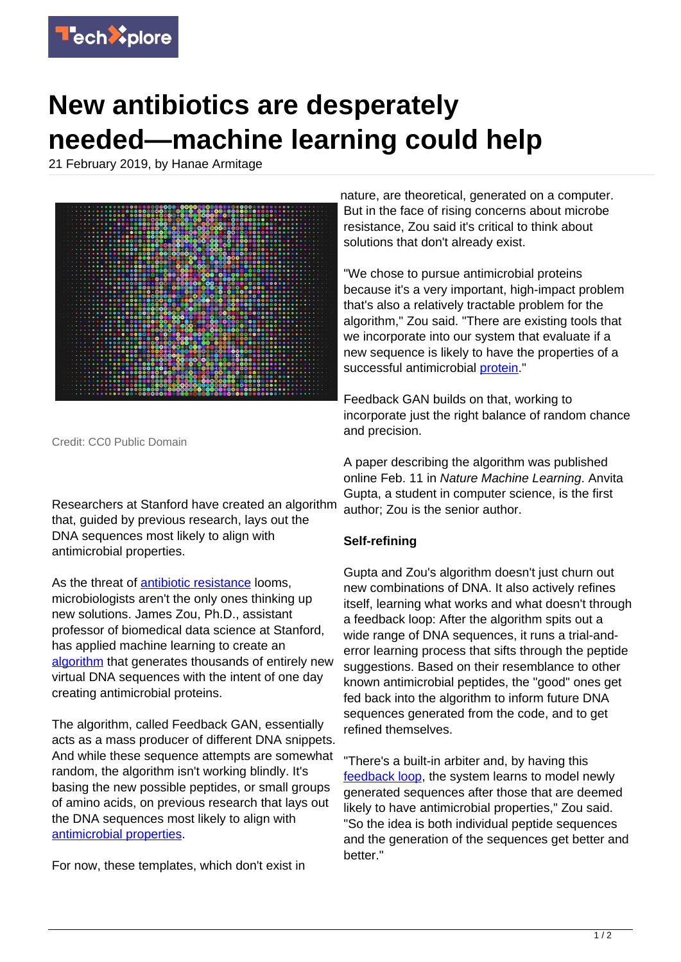

## **New antibiotics are desperately needed—machine learning could help**

21 February 2019, by Hanae Armitage



Credit: CC0 Public Domain

Researchers at Stanford have created an algorithm that, guided by previous research, lays out the DNA sequences most likely to align with antimicrobial properties.

As the threat of [antibiotic resistance](https://techxplore.com/tags/antibiotic+resistance/) looms, microbiologists aren't the only ones thinking up new solutions. James Zou, Ph.D., assistant professor of biomedical data science at Stanford, has applied machine learning to create an [algorithm](https://techxplore.com/tags/algorithm/) that generates thousands of entirely new virtual DNA sequences with the intent of one day creating antimicrobial proteins.

The algorithm, called Feedback GAN, essentially acts as a mass producer of different DNA snippets. And while these sequence attempts are somewhat random, the algorithm isn't working blindly. It's basing the new possible peptides, or small groups of amino acids, on previous research that lays out the DNA sequences most likely to align with [antimicrobial properties](https://techxplore.com/tags/antimicrobial+properties/).

For now, these templates, which don't exist in

nature, are theoretical, generated on a computer. But in the face of rising concerns about microbe resistance, Zou said it's critical to think about solutions that don't already exist.

"We chose to pursue antimicrobial proteins because it's a very important, high-impact problem that's also a relatively tractable problem for the algorithm," Zou said. "There are existing tools that we incorporate into our system that evaluate if a new sequence is likely to have the properties of a successful antimicrobial **[protein](https://techxplore.com/tags/protein/)**."

Feedback GAN builds on that, working to incorporate just the right balance of random chance and precision.

A paper describing the algorithm was published online Feb. 11 in Nature Machine Learning. Anvita Gupta, a student in computer science, is the first author; Zou is the senior author.

## **Self-refining**

Gupta and Zou's algorithm doesn't just churn out new combinations of DNA. It also actively refines itself, learning what works and what doesn't through a feedback loop: After the algorithm spits out a wide range of DNA sequences, it runs a trial-anderror learning process that sifts through the peptide suggestions. Based on their resemblance to other known antimicrobial peptides, the "good" ones get fed back into the algorithm to inform future DNA sequences generated from the code, and to get refined themselves.

"There's a built-in arbiter and, by having this [feedback loop,](https://techxplore.com/tags/feedback+loop/) the system learns to model newly generated sequences after those that are deemed likely to have antimicrobial properties," Zou said. "So the idea is both individual peptide sequences and the generation of the sequences get better and better."